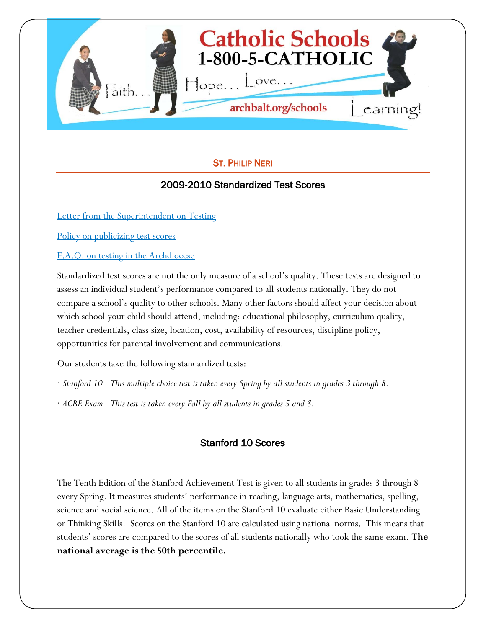

### ST. PHILIP NERI

## 2009-2010 Standardized Test Scores

[Letter from the Superintendent on Testing](http://www.archbalt.org/schools/standardized-tests/index.cfm)

[Policy on publicizing test scores](http://www.archbalt.org/schools/standardized-tests/scores.cfm)

[F.A.Q. on testing in the Archdiocese](http://www.archbalt.org/schools/standardized-tests/faqs.cfm)

Standardized test scores are not the only measure of a school's quality. These tests are designed to assess an individual student's performance compared to all students nationally. They do not compare a school's quality to other schools. Many other factors should affect your decision about which school your child should attend, including: educational philosophy, curriculum quality, teacher credentials, class size, location, cost, availability of resources, discipline policy, opportunities for parental involvement and communications.

Our students take the following standardized tests:

- · *Stanford 10– This multiple choice test is taken every Spring by all students in grades 3 through 8.*
- · *ACRE Exam– This test is taken every Fall by all students in grades 5 and 8.*

# Stanford 10 Scores

The Tenth Edition of the Stanford Achievement Test is given to all students in grades 3 through 8 every Spring. It measures students' performance in reading, language arts, mathematics, spelling, science and social science. All of the items on the Stanford 10 evaluate either Basic Understanding or Thinking Skills. Scores on the Stanford 10 are calculated using national norms. This means that students' scores are compared to the scores of all students nationally who took the same exam. **The national average is the 50th percentile.**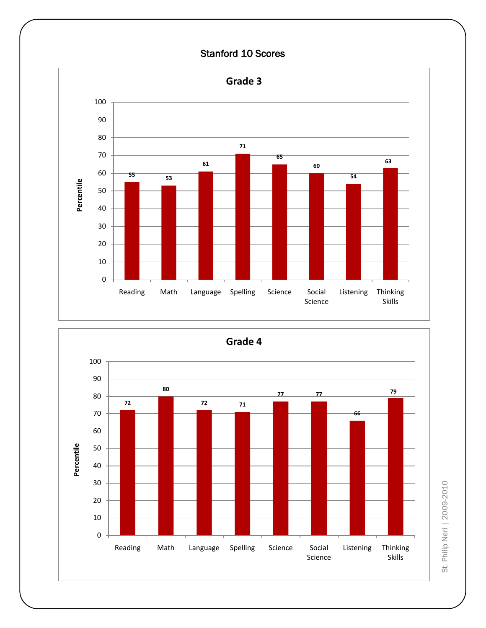## Stanford 10 Scores



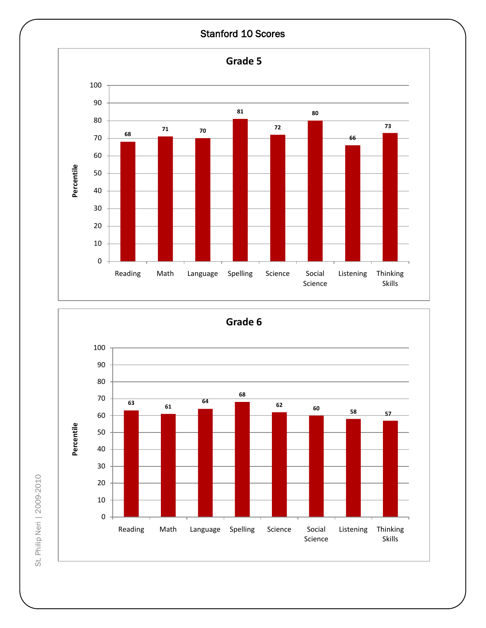#### Stanford 10 Scores



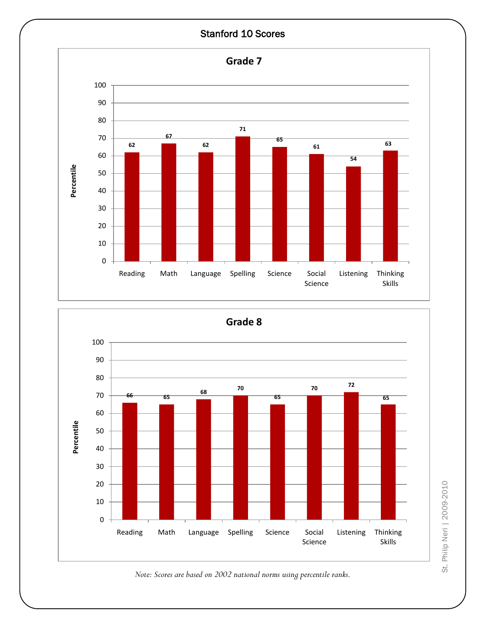



*Note: Scores are based on 2002 national norms using percentile ranks.*